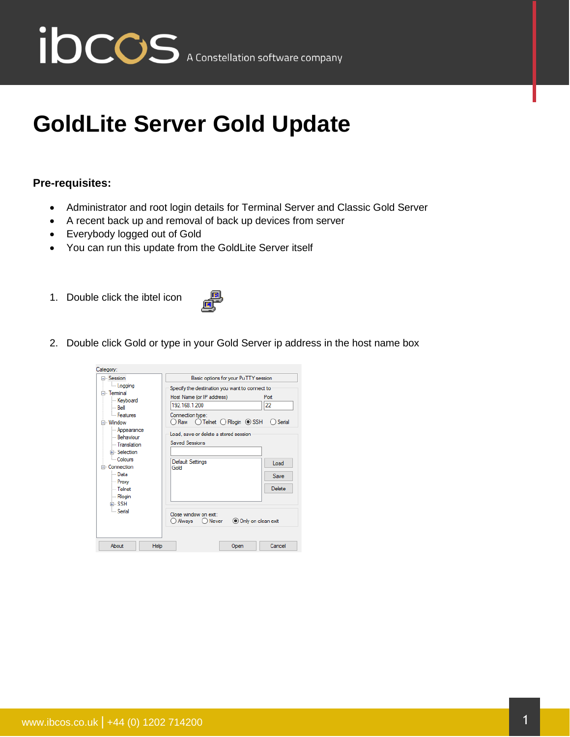

## **GoldLite Server Gold Update**

## **Pre-requisites:**

- Administrator and root login details for Terminal Server and Classic Gold Server
- A recent back up and removal of back up devices from server
- Everybody logged out of Gold
- You can run this update from the GoldLite Server itself
- 1. Double click the ibtel icon



2. Double click Gold or type in your Gold Server ip address in the host name box

| Category:                                                                                                                                                                                                                                            |                                                                                                                                                                                                                                           |  |  |  |  |
|------------------------------------------------------------------------------------------------------------------------------------------------------------------------------------------------------------------------------------------------------|-------------------------------------------------------------------------------------------------------------------------------------------------------------------------------------------------------------------------------------------|--|--|--|--|
| ⊟- Session                                                                                                                                                                                                                                           | Basic options for your PuTTY session                                                                                                                                                                                                      |  |  |  |  |
| Logging<br>⊟- Terminal<br>Keyboard<br>i… Bell<br><b>Eeatures</b><br>– Window<br>- Appearance<br>- Rehaviour<br>- Translation<br>Fi-Selection<br>- Colours<br>⊟- Connection<br>l - Data<br>- Proxy<br>l— Telnet<br>- Rlogin<br>中·SSH<br><b>Serial</b> | Specify the destination you want to connect to<br>Host Name (or IP address)<br>Port<br>22<br>192 168 1 200<br>Connection type:<br>Raw O Telnet O Rlogin O SSH<br>Serial<br>Load, save or delete a stored session<br><b>Saved Sessions</b> |  |  |  |  |
|                                                                                                                                                                                                                                                      | <b>Default Settings</b><br>Load<br>Gold<br>Save<br>Delete                                                                                                                                                                                 |  |  |  |  |
|                                                                                                                                                                                                                                                      | Close window on exit:<br>Only on clean exit<br>O Always<br>( ) Never                                                                                                                                                                      |  |  |  |  |
| About                                                                                                                                                                                                                                                | Help<br>Cancel<br>Open                                                                                                                                                                                                                    |  |  |  |  |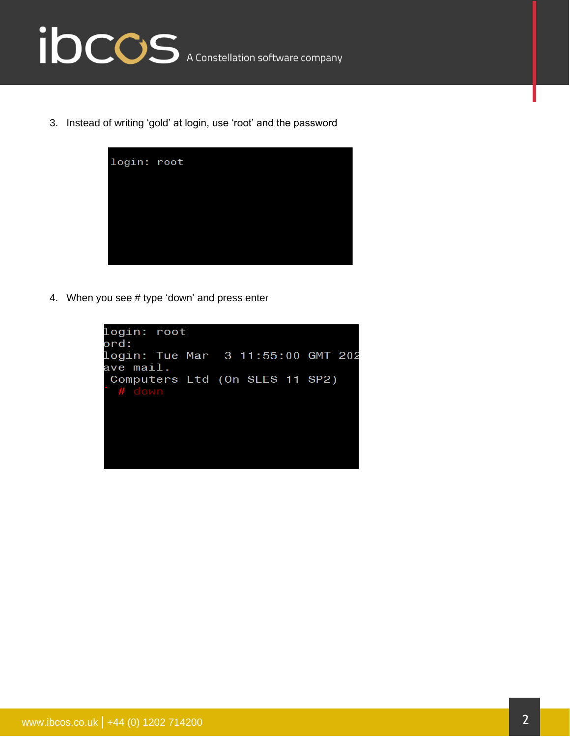

3. Instead of writing 'gold' at login, use 'root' and the password



4. When you see # type 'down' and press enter

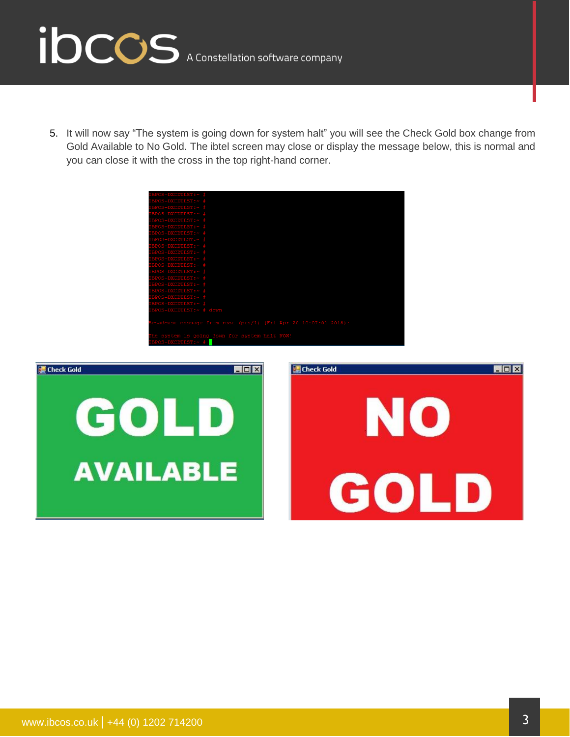

5. It will now say "The system is going down for system halt" you will see the Check Gold box change from Gold Available to No Gold. The ibtel screen may close or display the message below, this is normal and you can close it with the cross in the top right-hand corner.





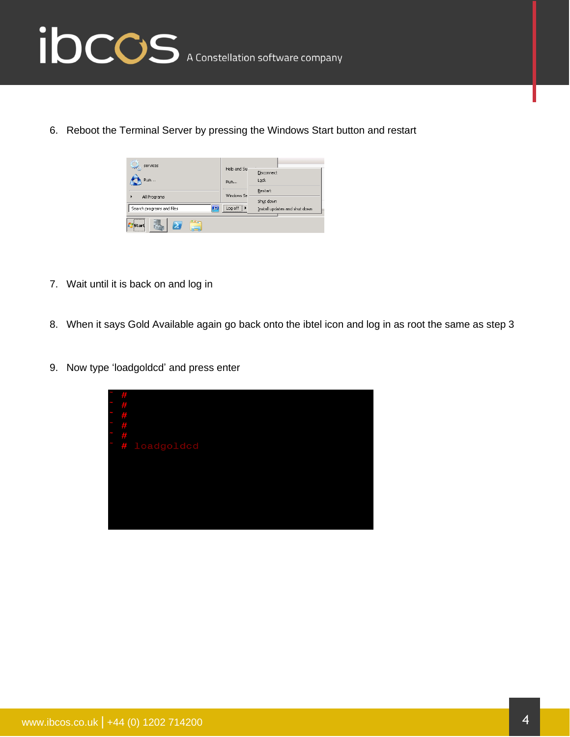

6. Reboot the Terminal Server by pressing the Windows Start button and restart

| services                                                                  |                                                                  |                               |  |  |
|---------------------------------------------------------------------------|------------------------------------------------------------------|-------------------------------|--|--|
|                                                                           | Help and Su                                                      | Disconnect                    |  |  |
| Run                                                                       | <b>Run</b>                                                       | Lock                          |  |  |
|                                                                           | Windows Se                                                       | Restart                       |  |  |
| All Programs                                                              |                                                                  | Shut down                     |  |  |
| O<br>Search programs and files                                            | --------------------------<br>Log off<br>----------------------- | Install updates and shut down |  |  |
| --------------<br>×.<br>Start<br>$\frac{1}{2}$<br><b>BELLEVILLE LEADS</b> |                                                                  |                               |  |  |

- 7. Wait until it is back on and log in
- 8. When it says Gold Available again go back onto the ibtel icon and log in as root the same as step 3
- 9. Now type 'loadgoldcd' and press enter

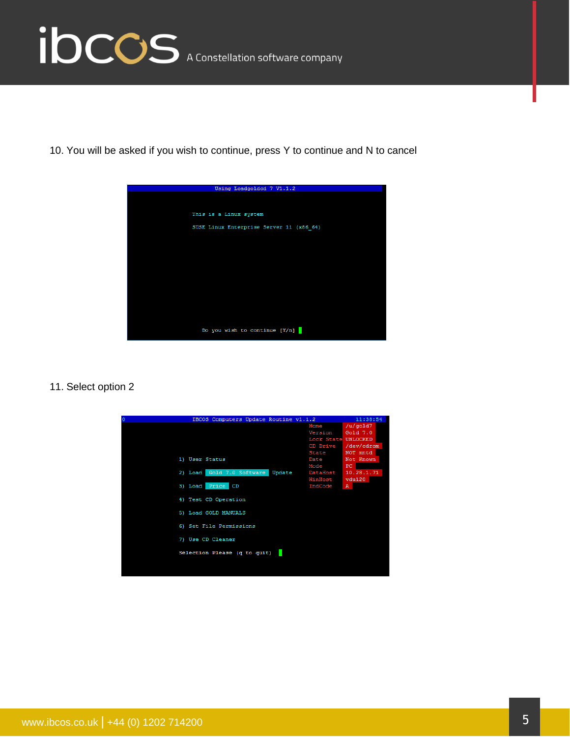

10. You will be asked if you wish to continue, press Y to continue and N to cancel



11. Select option 2

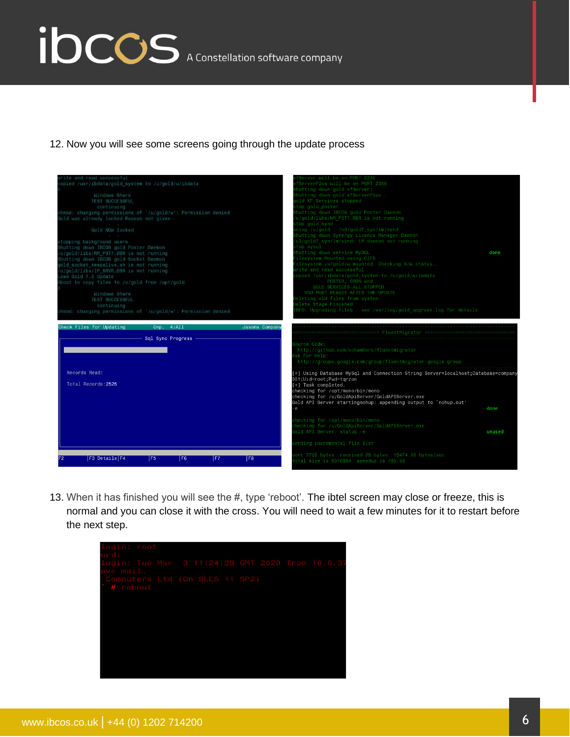## ibccos A Constellation software company

12. Now you will see some screens going through the update process

|                                                                                                                                                                                                                                                                                                                         | hecking for /u/GoldApiServer/GoldAPIServer.exe<br>old API Server status -e<br>unused<br>ending incremental file list                                                                                                                                                                                                        |
|-------------------------------------------------------------------------------------------------------------------------------------------------------------------------------------------------------------------------------------------------------------------------------------------------------------------------|-----------------------------------------------------------------------------------------------------------------------------------------------------------------------------------------------------------------------------------------------------------------------------------------------------------------------------|
|                                                                                                                                                                                                                                                                                                                         | hecking for /opt/mono/bin/mono                                                                                                                                                                                                                                                                                              |
| Records Read:<br>Total Records: 2525                                                                                                                                                                                                                                                                                    | [+] Using Database MySql and Connection String Server=localhost;Database=company<br>001;Uid=root;Pwd=tgrzon<br>[+] Task completed.<br>checking for /opt/mono/bin/mono<br>checking for /u/GoldApiServer/GoldAPIServer.exe<br>Gold API Server startingnohup: appending output to 'nohup.out'<br>done<br>-е                    |
| Sql Sync Progress -                                                                                                                                                                                                                                                                                                     | ource Code:<br>http://github.com/schambers/fluentmigrator<br>sk For Help:<br>http://groups.google.com/group/fluentmigrator-google-group                                                                                                                                                                                     |
| Windows Share<br>TEST SUCCESSFUL<br>continuing<br>chmod: changing permissions of '/u/gold/w': Permission denied<br>Check Files for Updating<br>Cmp. 4/Al1                                                                                                                                                               | YOU MUST REBOOT AFTER THE UPDATE<br>eleting old files from system<br>elete Stage Finished<br>NFO: Upgrading files - see /var/log/gold upgrade.log for details<br>Jasons Company                                                                                                                                             |
| stopping background users<br>Shutting down IBCOS gold Poster Daemon<br>/u/gold/libs/NM PST7.DBR is not running<br>Shutting down IBCOS gold Socket Daemon<br>gold socket keepalive.sh is not running<br>/u/gold/libs/IP SRVR.DBR is not running<br>Load Gold 7.0 Update<br>About to copy files to /u/gold from /opt/gold | u3/gold7 syn/lm/synd: LM daemon not running<br>top mysql<br>hutting down service MySQL<br>done<br>ilesystem Mounted using CIFS<br>ilesystem /u/gold/w mounted. Checking R/W status<br>rite and read successful<br>opied /usr/ibdata/gold_system to /u/gold/w/ibdata<br>POSTER, CRON and<br><b>GOLD SERVICES ALL STOPPED</b> |
| Windows Share<br><b>TEST SUCCESSFUL</b><br>continuing<br>chmod: changing permissions of '/u/gold/w': Permission denied<br>Gold was already locked Reason not given<br>Gold NOW locked                                                                                                                                   | hutting down gold xfServerPlus :<br>old XF Services stopped<br>top gold poster<br>hutting down IBCOS gold Poster Daemon<br>u/gold/libs/NM PST7.DBR is not running<br>top gold synd<br>sing /u/gold : /u3/gold7 syn/lm/synd<br>hutting down Synergy Licence Manager Daemon                                                   |
| copied /usr/ibdata/gold system to /u/gold/w/ibdata                                                                                                                                                                                                                                                                      | fServerPlus will be on PORT 2356<br>hutting down gold xfServer:                                                                                                                                                                                                                                                             |

13. When it has finished you will see the #, type 'reboot'. The ibtel screen may close or freeze, this is normal and you can close it with the cross. You will need to wait a few minutes for it to restart before the next step.

| login: root                    |  |  |  |
|--------------------------------|--|--|--|
| ord:                           |  |  |  |
|                                |  |  |  |
| ave mail.                      |  |  |  |
| Computers Ltd (On SLES 11 SP2) |  |  |  |
| # reboot                       |  |  |  |
|                                |  |  |  |
|                                |  |  |  |
|                                |  |  |  |
|                                |  |  |  |
|                                |  |  |  |
|                                |  |  |  |
|                                |  |  |  |
|                                |  |  |  |
|                                |  |  |  |
|                                |  |  |  |
|                                |  |  |  |